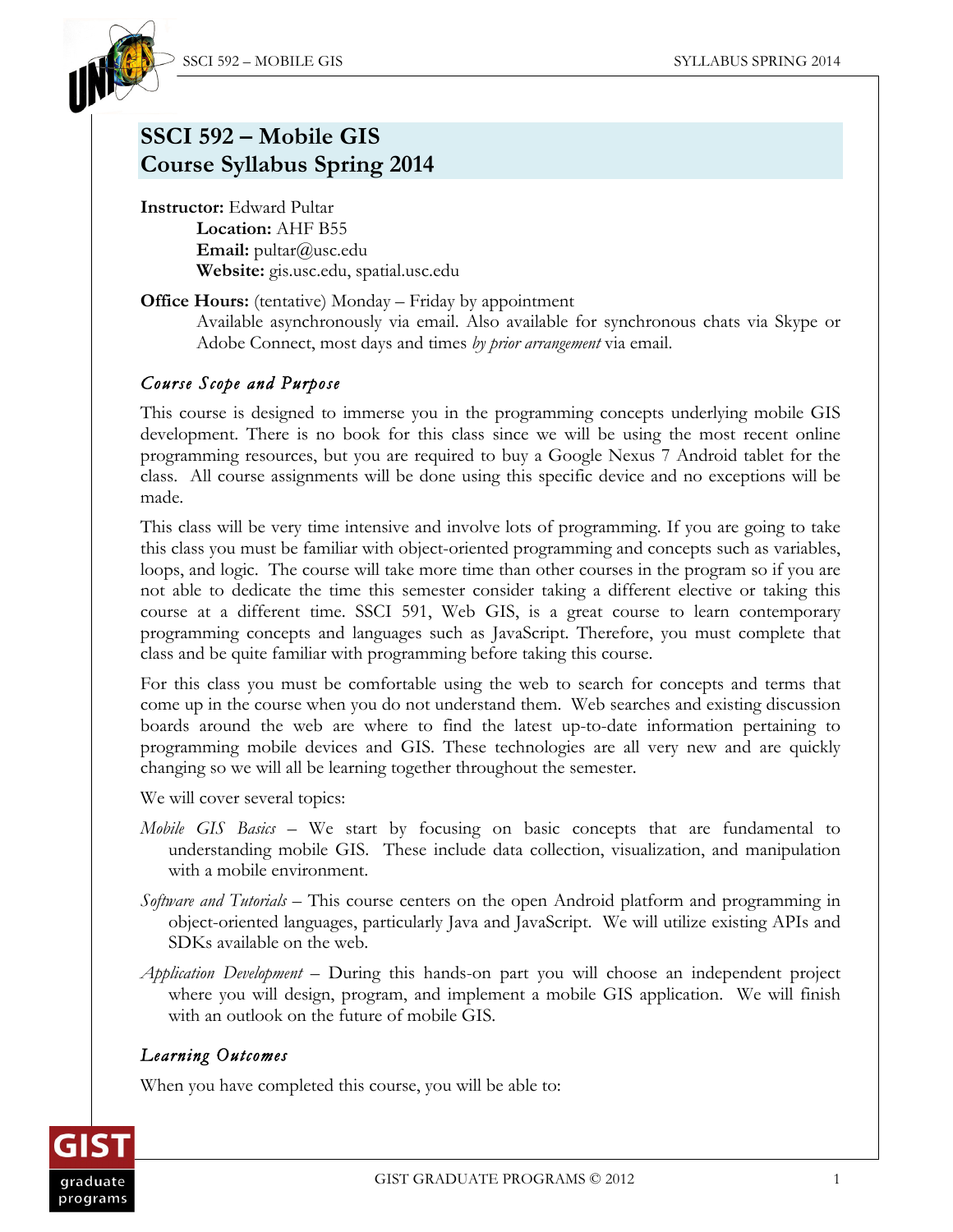

# **SSCI 592 – Mobile GIS Course Syllabus Spring 2014**

**Instructor:** Edward Pultar **Location:** AHF B55 **Email:** pultar@usc.edu **Website:** gis.usc.edu, spatial.usc.edu

**Office Hours:** (tentative) Monday – Friday by appointment Available asynchronously via email. Also available for synchronous chats via Skype or Adobe Connect, most days and times *by prior arrangement* via email.

# *Course Scope and Purpose*

This course is designed to immerse you in the programming concepts underlying mobile GIS development. There is no book for this class since we will be using the most recent online programming resources, but you are required to buy a Google Nexus 7 Android tablet for the class. All course assignments will be done using this specific device and no exceptions will be made.

This class will be very time intensive and involve lots of programming. If you are going to take this class you must be familiar with object-oriented programming and concepts such as variables, loops, and logic. The course will take more time than other courses in the program so if you are not able to dedicate the time this semester consider taking a different elective or taking this course at a different time. SSCI 591, Web GIS, is a great course to learn contemporary programming concepts and languages such as JavaScript. Therefore, you must complete that class and be quite familiar with programming before taking this course.

For this class you must be comfortable using the web to search for concepts and terms that come up in the course when you do not understand them. Web searches and existing discussion boards around the web are where to find the latest up-to-date information pertaining to programming mobile devices and GIS. These technologies are all very new and are quickly changing so we will all be learning together throughout the semester.

We will cover several topics:

- *Mobile GIS Basics* We start by focusing on basic concepts that are fundamental to understanding mobile GIS. These include data collection, visualization, and manipulation with a mobile environment.
- *Software and Tutorials* This course centers on the open Android platform and programming in object-oriented languages, particularly Java and JavaScript. We will utilize existing APIs and SDKs available on the web.
- *Application Development* During this hands-on part you will choose an independent project where you will design, program, and implement a mobile GIS application. We will finish with an outlook on the future of mobile GIS.

# *Learning Outcomes*

When you have completed this course, you will be able to:

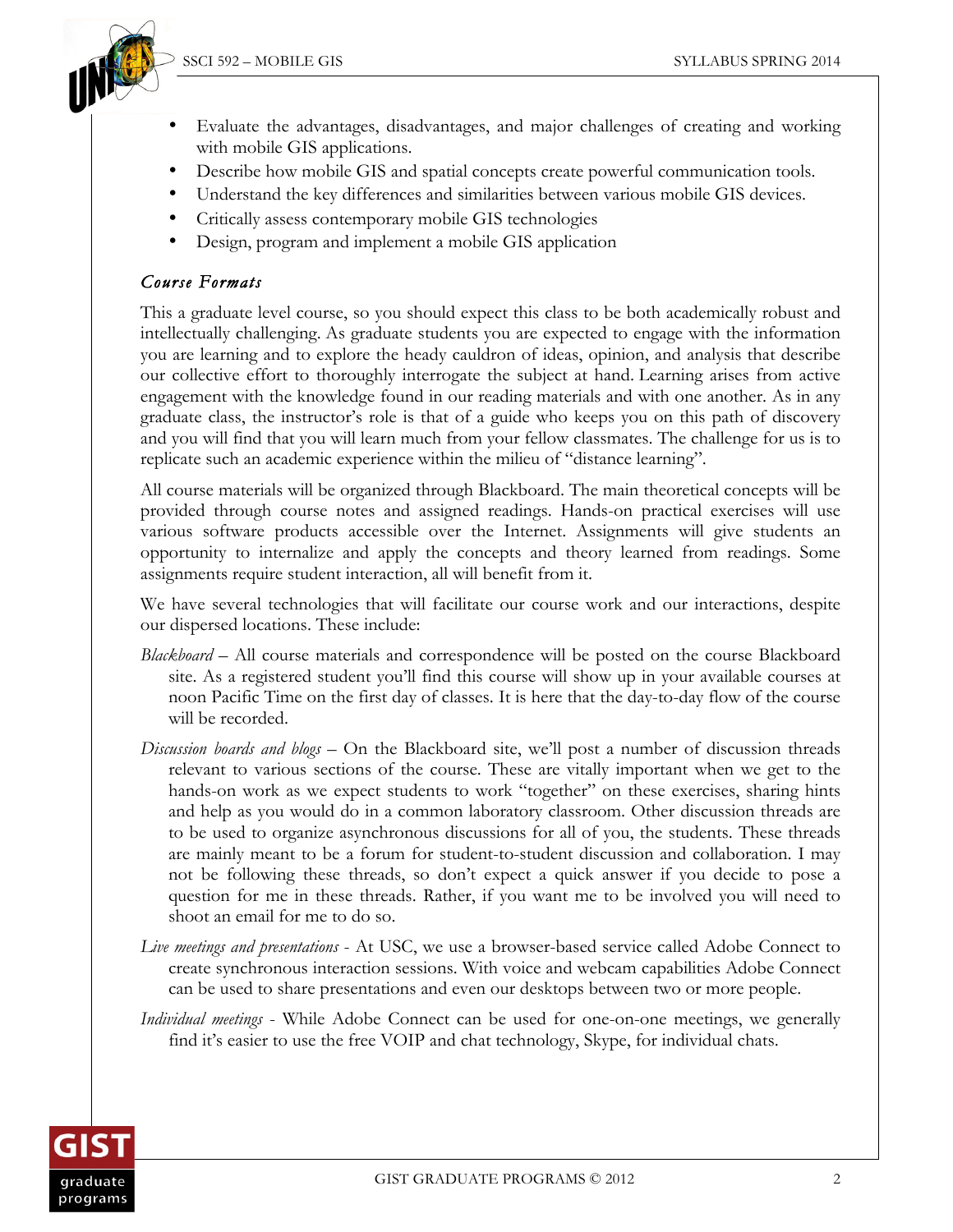

- Evaluate the advantages, disadvantages, and major challenges of creating and working with mobile GIS applications.
- Describe how mobile GIS and spatial concepts create powerful communication tools.
- Understand the key differences and similarities between various mobile GIS devices.
- Critically assess contemporary mobile GIS technologies
- Design, program and implement a mobile GIS application

### *Course Formats*

This a graduate level course, so you should expect this class to be both academically robust and intellectually challenging. As graduate students you are expected to engage with the information you are learning and to explore the heady cauldron of ideas, opinion, and analysis that describe our collective effort to thoroughly interrogate the subject at hand. Learning arises from active engagement with the knowledge found in our reading materials and with one another. As in any graduate class, the instructor's role is that of a guide who keeps you on this path of discovery and you will find that you will learn much from your fellow classmates. The challenge for us is to replicate such an academic experience within the milieu of "distance learning".

All course materials will be organized through Blackboard. The main theoretical concepts will be provided through course notes and assigned readings. Hands-on practical exercises will use various software products accessible over the Internet. Assignments will give students an opportunity to internalize and apply the concepts and theory learned from readings. Some assignments require student interaction, all will benefit from it.

We have several technologies that will facilitate our course work and our interactions, despite our dispersed locations. These include:

- *Blackboard*  All course materials and correspondence will be posted on the course Blackboard site. As a registered student you'll find this course will show up in your available courses at noon Pacific Time on the first day of classes. It is here that the day-to-day flow of the course will be recorded.
- *Discussion boards and blogs* On the Blackboard site, we'll post a number of discussion threads relevant to various sections of the course. These are vitally important when we get to the hands-on work as we expect students to work "together" on these exercises, sharing hints and help as you would do in a common laboratory classroom. Other discussion threads are to be used to organize asynchronous discussions for all of you, the students. These threads are mainly meant to be a forum for student-to-student discussion and collaboration. I may not be following these threads, so don't expect a quick answer if you decide to pose a question for me in these threads. Rather, if you want me to be involved you will need to shoot an email for me to do so.
- *Live meetings and presentations* At USC, we use a browser-based service called Adobe Connect to create synchronous interaction sessions. With voice and webcam capabilities Adobe Connect can be used to share presentations and even our desktops between two or more people.
- *Individual meetings* While Adobe Connect can be used for one-on-one meetings, we generally find it's easier to use the free VOIP and chat technology, Skype, for individual chats.

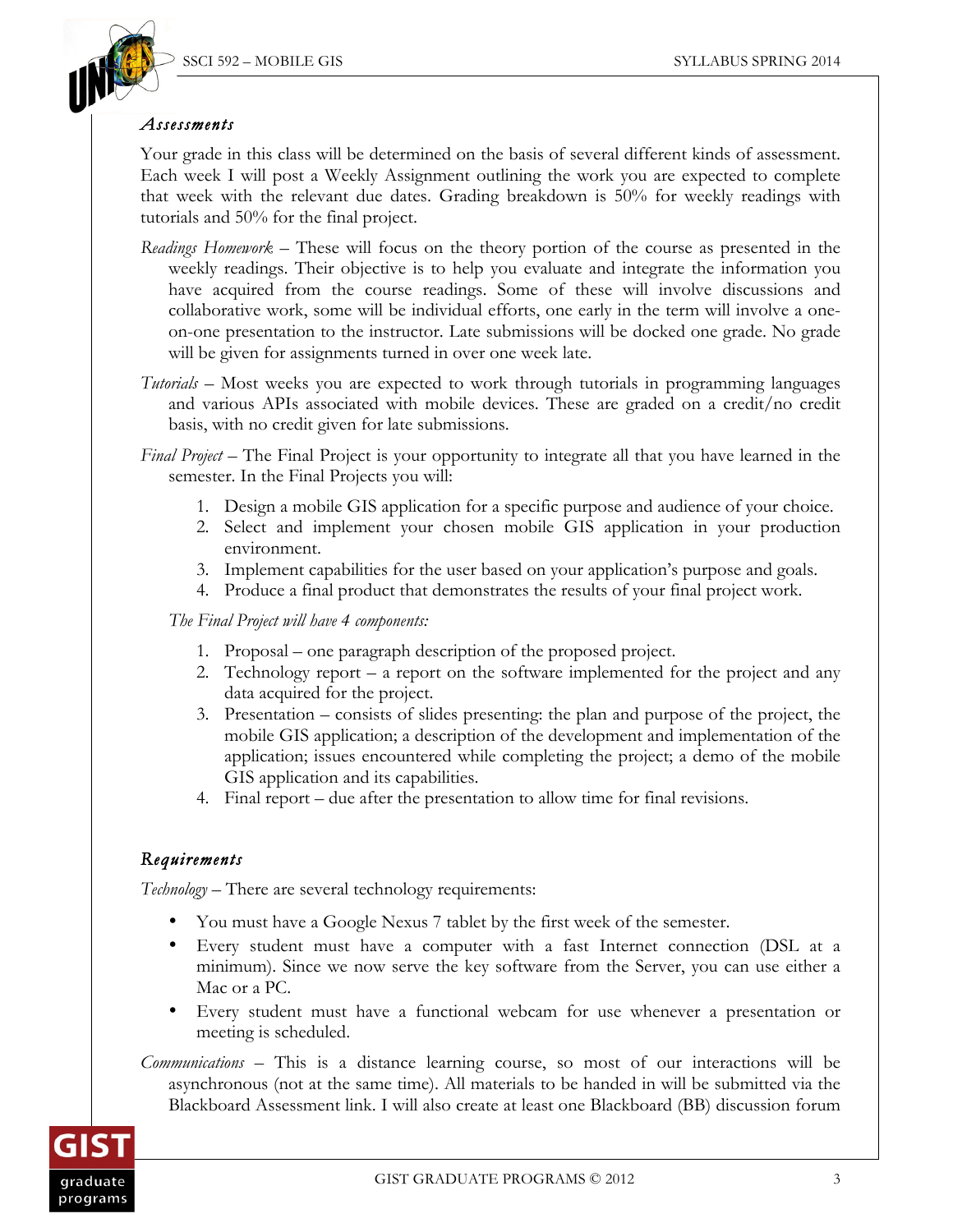

#### *Assessments*

Your grade in this class will be determined on the basis of several different kinds of assessment. Each week I will post a Weekly Assignment outlining the work you are expected to complete that week with the relevant due dates. Grading breakdown is 50% for weekly readings with tutorials and 50% for the final project.

- *Readings Homework –* These will focus on the theory portion of the course as presented in the weekly readings. Their objective is to help you evaluate and integrate the information you have acquired from the course readings. Some of these will involve discussions and collaborative work, some will be individual efforts, one early in the term will involve a oneon-one presentation to the instructor. Late submissions will be docked one grade. No grade will be given for assignments turned in over one week late.
- *Tutorials –* Most weeks you are expected to work through tutorials in programming languages and various APIs associated with mobile devices. These are graded on a credit/no credit basis, with no credit given for late submissions.
- *Final Project*  The Final Project is your opportunity to integrate all that you have learned in the semester. In the Final Projects you will:
	- 1. Design a mobile GIS application for a specific purpose and audience of your choice.
	- 2. Select and implement your chosen mobile GIS application in your production environment.
	- 3. Implement capabilities for the user based on your application's purpose and goals.
	- 4. Produce a final product that demonstrates the results of your final project work.

 *The Final Project will have 4 components:*

- 1. Proposal one paragraph description of the proposed project.
- 2. Technology report a report on the software implemented for the project and any data acquired for the project.
- 3. Presentation consists of slides presenting: the plan and purpose of the project, the mobile GIS application; a description of the development and implementation of the application; issues encountered while completing the project; a demo of the mobile GIS application and its capabilities.
- 4. Final report due after the presentation to allow time for final revisions.

#### *Requirements*

*Technology –* There are several technology requirements:

- You must have a Google Nexus 7 tablet by the first week of the semester.
- Every student must have a computer with a fast Internet connection (DSL at a minimum). Since we now serve the key software from the Server, you can use either a Mac or a PC.
- Every student must have a functional webcam for use whenever a presentation or meeting is scheduled.

*Communications –* This is a distance learning course, so most of our interactions will be asynchronous (not at the same time). All materials to be handed in will be submitted via the Blackboard Assessment link. I will also create at least one Blackboard (BB) discussion forum

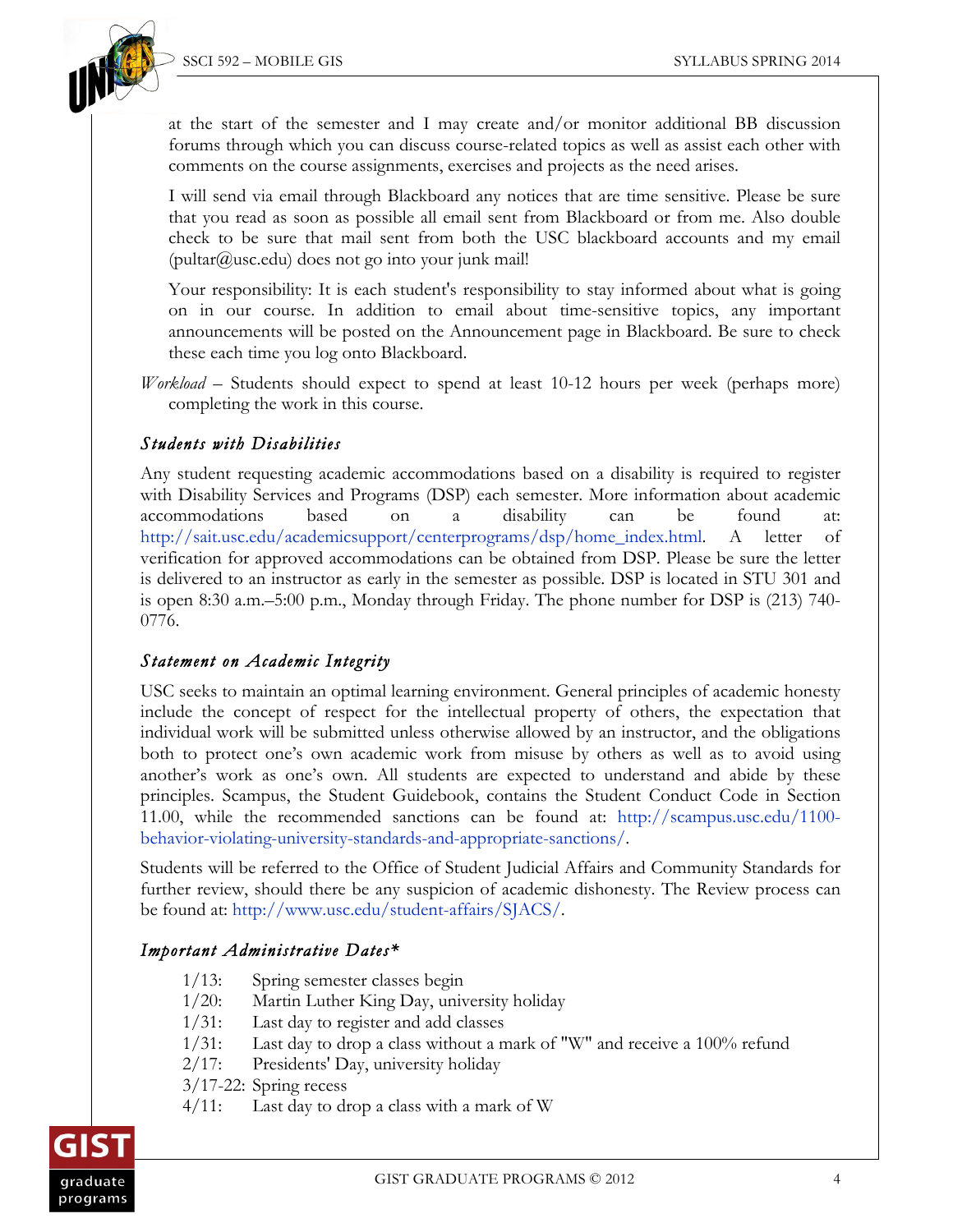

at the start of the semester and I may create and/or monitor additional BB discussion forums through which you can discuss course-related topics as well as assist each other with comments on the course assignments, exercises and projects as the need arises.

I will send via email through Blackboard any notices that are time sensitive. Please be sure that you read as soon as possible all email sent from Blackboard or from me. Also double check to be sure that mail sent from both the USC blackboard accounts and my email  $(\text{pultar@usc.edu})$  does not go into your junk mail!

Your responsibility: It is each student's responsibility to stay informed about what is going on in our course. In addition to email about time-sensitive topics, any important announcements will be posted on the Announcement page in Blackboard. Be sure to check these each time you log onto Blackboard.

*Workload –* Students should expect to spend at least 10-12 hours per week (perhaps more) completing the work in this course.

#### *Students with Disabilities*

Any student requesting academic accommodations based on a disability is required to register with Disability Services and Programs (DSP) each semester. More information about academic accommodations based on a disability can be found at: http://sait.usc.edu/academicsupport/centerprograms/dsp/home\_index.html. A letter of verification for approved accommodations can be obtained from DSP. Please be sure the letter is delivered to an instructor as early in the semester as possible. DSP is located in STU 301 and is open 8:30 a.m.–5:00 p.m., Monday through Friday. The phone number for DSP is (213) 740- 0776.

#### *Statement on Academic Integrity*

USC seeks to maintain an optimal learning environment. General principles of academic honesty include the concept of respect for the intellectual property of others, the expectation that individual work will be submitted unless otherwise allowed by an instructor, and the obligations both to protect one's own academic work from misuse by others as well as to avoid using another's work as one's own. All students are expected to understand and abide by these principles. Scampus, the Student Guidebook, contains the Student Conduct Code in Section 11.00, while the recommended sanctions can be found at: http://scampus.usc.edu/1100 behavior-violating-university-standards-and-appropriate-sanctions/.

Students will be referred to the Office of Student Judicial Affairs and Community Standards for further review, should there be any suspicion of academic dishonesty. The Review process can be found at: http://www.usc.edu/student-affairs/SJACS/.

#### *Important Administrative Dates\**

- 1/13: Spring semester classes begin
- 1/20: Martin Luther King Day, university holiday
- 1/31: Last day to register and add classes
- 1/31: Last day to drop a class without a mark of "W" and receive a 100% refund
- 2/17: Presidents' Day, university holiday
- 3/17-22: Spring recess
- 4/11: Last day to drop a class with a mark of W